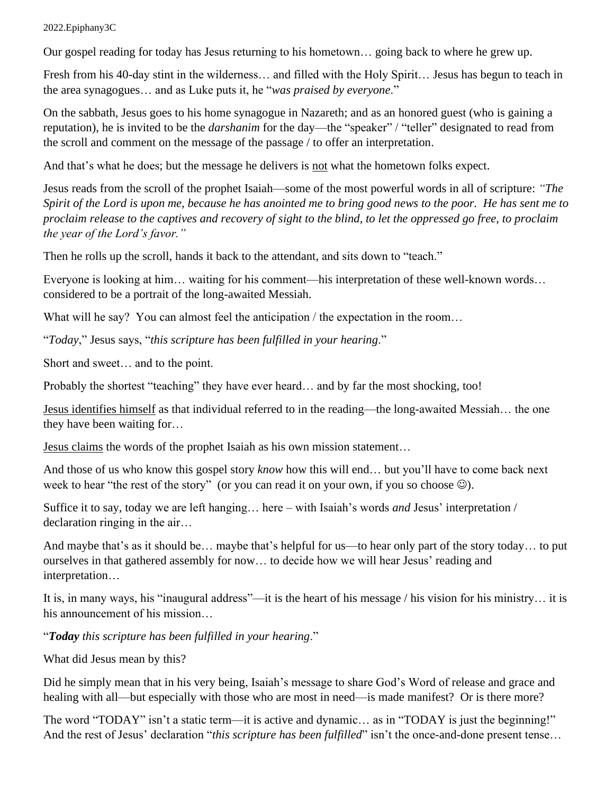## 2022.Epiphany3C

Our gospel reading for today has Jesus returning to his hometown… going back to where he grew up.

Fresh from his 40-day stint in the wilderness… and filled with the Holy Spirit… Jesus has begun to teach in the area synagogues… and as Luke puts it, he "*was praised by everyone*."

On the sabbath, Jesus goes to his home synagogue in Nazareth; and as an honored guest (who is gaining a reputation), he is invited to be the *darshanim* for the day—the "speaker" / "teller" designated to read from the scroll and comment on the message of the passage / to offer an interpretation.

And that's what he does; but the message he delivers is not what the hometown folks expect.

Jesus reads from the scroll of the prophet Isaiah—some of the most powerful words in all of scripture: *"The Spirit of the Lord is upon me, because he has anointed me to bring good news to the poor. He has sent me to proclaim release to the captives and recovery of sight to the blind, to let the oppressed go free, to proclaim the year of the Lord's favor."*

Then he rolls up the scroll, hands it back to the attendant, and sits down to "teach."

Everyone is looking at him… waiting for his comment—his interpretation of these well-known words… considered to be a portrait of the long-awaited Messiah.

What will he say? You can almost feel the anticipation / the expectation in the room...

"*Today*," Jesus says, "*this scripture has been fulfilled in your hearing*."

Short and sweet… and to the point.

Probably the shortest "teaching" they have ever heard... and by far the most shocking, too!

Jesus identifies himself as that individual referred to in the reading—the long-awaited Messiah… the one they have been waiting for…

Jesus claims the words of the prophet Isaiah as his own mission statement…

And those of us who know this gospel story *know* how this will end… but you'll have to come back next week to hear "the rest of the story" (or you can read it on your own, if you so choose  $\circledcirc$ ).

Suffice it to say, today we are left hanging… here – with Isaiah's words *and* Jesus' interpretation / declaration ringing in the air…

And maybe that's as it should be… maybe that's helpful for us—to hear only part of the story today… to put ourselves in that gathered assembly for now… to decide how we will hear Jesus' reading and interpretation…

It is, in many ways, his "inaugural address"—it is the heart of his message / his vision for his ministry… it is his announcement of his mission…

"*Today this scripture has been fulfilled in your hearing*."

What did Jesus mean by this?

Did he simply mean that in his very being, Isaiah's message to share God's Word of release and grace and healing with all—but especially with those who are most in need—is made manifest? Or is there more?

The word "TODAY" isn't a static term—it is active and dynamic… as in "TODAY is just the beginning!" And the rest of Jesus' declaration "*this scripture has been fulfilled*" isn't the once-and-done present tense...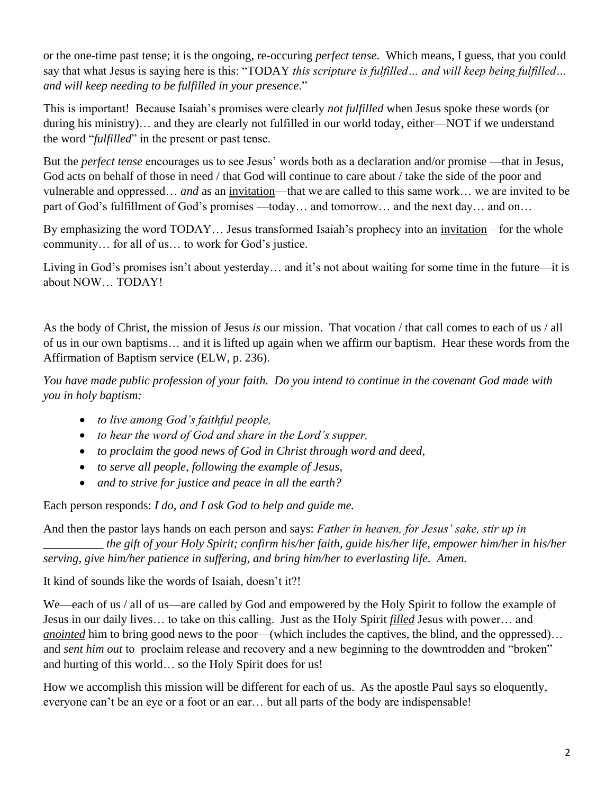or the one-time past tense; it is the ongoing, re-occuring *perfect tense*. Which means, I guess, that you could say that what Jesus is saying here is this: "TODAY *this scripture is fulfilled… and will keep being fulfilled… and will keep needing to be fulfilled in your presence*."

This is important! Because Isaiah's promises were clearly *not fulfilled* when Jesus spoke these words (or during his ministry)… and they are clearly not fulfilled in our world today, either—NOT if we understand the word "*fulfilled*" in the present or past tense.

But the *perfect tense* encourages us to see Jesus' words both as a declaration and/or promise —that in Jesus, God acts on behalf of those in need / that God will continue to care about / take the side of the poor and vulnerable and oppressed… *and* as an invitation—that we are called to this same work… we are invited to be part of God's fulfillment of God's promises —today... and tomorrow... and the next day... and on...

By emphasizing the word TODAY… Jesus transformed Isaiah's prophecy into an invitation – for the whole community… for all of us… to work for God's justice.

Living in God's promises isn't about yesterday… and it's not about waiting for some time in the future—it is about NOW… TODAY!

As the body of Christ, the mission of Jesus *is* our mission. That vocation / that call comes to each of us / all of us in our own baptisms… and it is lifted up again when we affirm our baptism. Hear these words from the Affirmation of Baptism service (ELW, p. 236).

*You have made public profession of your faith. Do you intend to continue in the covenant God made with you in holy baptism:* 

- *to live among God's faithful people,*
- *to hear the word of God and share in the Lord's supper,*
- *to proclaim the good news of God in Christ through word and deed,*
- *to serve all people, following the example of Jesus,*
- *and to strive for justice and peace in all the earth?*

Each person responds: *I do, and I ask God to help and guide me.* 

And then the pastor lays hands on each person and says: *Father in heaven, for Jesus' sake, stir up in \_\_\_\_\_\_\_\_\_\_ the gift of your Holy Spirit; confirm his/her faith, guide his/her life, empower him/her in his/her serving, give him/her patience in suffering, and bring him/her to everlasting life. Amen.* 

It kind of sounds like the words of Isaiah, doesn't it?!

We—each of us / all of us—are called by God and empowered by the Holy Spirit to follow the example of Jesus in our daily lives… to take on this calling. Just as the Holy Spirit *filled* Jesus with power… and *anointed* him to bring good news to the poor—(which includes the captives, the blind, and the oppressed)... and *sent him out* to proclaim release and recovery and a new beginning to the downtrodden and "broken" and hurting of this world… so the Holy Spirit does for us!

How we accomplish this mission will be different for each of us. As the apostle Paul says so eloquently, everyone can't be an eye or a foot or an ear… but all parts of the body are indispensable!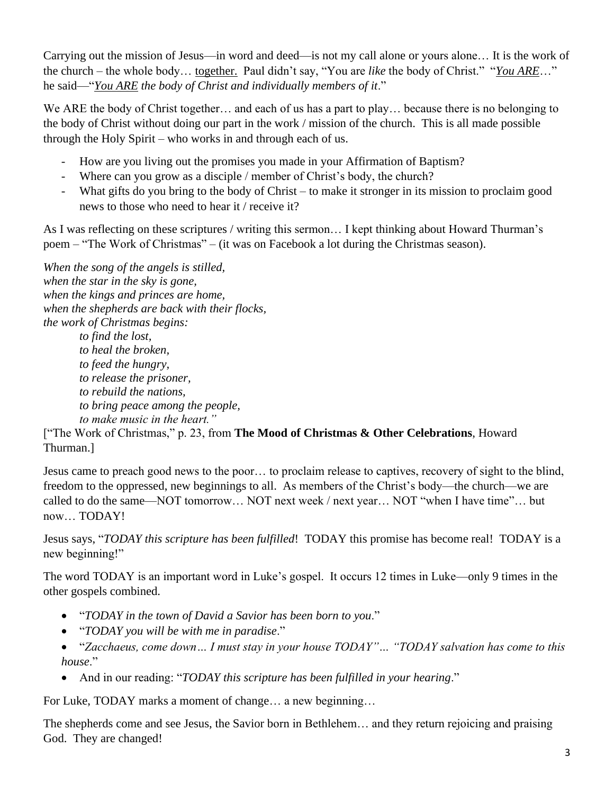Carrying out the mission of Jesus—in word and deed—is not my call alone or yours alone… It is the work of the church – the whole body… together. Paul didn't say, "You are *like* the body of Christ." "*You ARE*…" he said—"*You ARE the body of Christ and individually members of it*."

We ARE the body of Christ together… and each of us has a part to play… because there is no belonging to the body of Christ without doing our part in the work / mission of the church. This is all made possible through the Holy Spirit – who works in and through each of us.

- How are you living out the promises you made in your Affirmation of Baptism?
- Where can you grow as a disciple / member of Christ's body, the church?
- What gifts do you bring to the body of Christ to make it stronger in its mission to proclaim good news to those who need to hear it / receive it?

As I was reflecting on these scriptures / writing this sermon… I kept thinking about Howard Thurman's poem – "The Work of Christmas" – (it was on Facebook a lot during the Christmas season).

*When the song of the angels is stilled, when the star in the sky is gone, when the kings and princes are home, when the shepherds are back with their flocks, the work of Christmas begins:* 

*to find the lost, to heal the broken, to feed the hungry, to release the prisoner, to rebuild the nations, to bring peace among the people, to make music in the heart."* 

["The Work of Christmas," p. 23, from **The Mood of Christmas & Other Celebrations**, Howard Thurman.]

Jesus came to preach good news to the poor… to proclaim release to captives, recovery of sight to the blind, freedom to the oppressed, new beginnings to all. As members of the Christ's body—the church—we are called to do the same—NOT tomorrow… NOT next week / next year… NOT "when I have time"… but now… TODAY!

Jesus says, "*TODAY this scripture has been fulfilled*! TODAY this promise has become real! TODAY is a new beginning!"

The word TODAY is an important word in Luke's gospel. It occurs 12 times in Luke—only 9 times in the other gospels combined.

- "*TODAY in the town of David a Savior has been born to you*."
- "*TODAY you will be with me in paradise*."
- "*Zacchaeus, come down… I must stay in your house TODAY"… "TODAY salvation has come to this house*."
- And in our reading: "*TODAY this scripture has been fulfilled in your hearing*."

For Luke, TODAY marks a moment of change... a new beginning...

The shepherds come and see Jesus, the Savior born in Bethlehem… and they return rejoicing and praising God. They are changed!